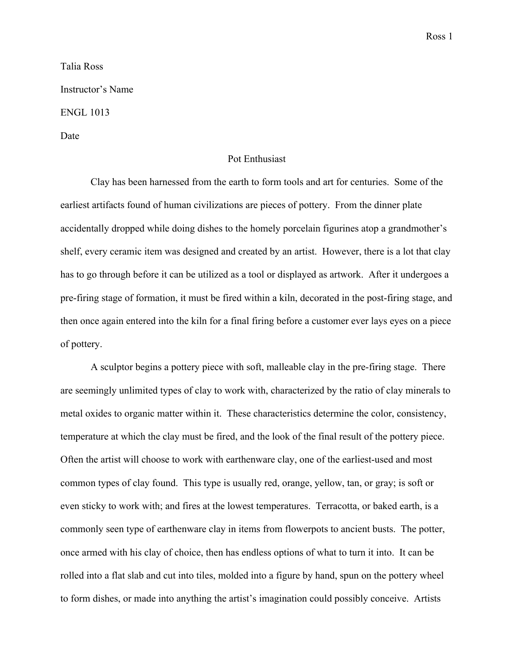Ross 1

Talia Ross Instructor's Name ENGL 1013 Date

## Pot Enthusiast

Clay has been harnessed from the earth to form tools and art for centuries. Some of the earliest artifacts found of human civilizations are pieces of pottery. From the dinner plate accidentally dropped while doing dishes to the homely porcelain figurines atop a grandmother's shelf, every ceramic item was designed and created by an artist. However, there is a lot that clay has to go through before it can be utilized as a tool or displayed as artwork. After it undergoes a pre-firing stage of formation, it must be fired within a kiln, decorated in the post-firing stage, and then once again entered into the kiln for a final firing before a customer ever lays eyes on a piece of pottery.

A sculptor begins a pottery piece with soft, malleable clay in the pre-firing stage. There are seemingly unlimited types of clay to work with, characterized by the ratio of clay minerals to metal oxides to organic matter within it. These characteristics determine the color, consistency, temperature at which the clay must be fired, and the look of the final result of the pottery piece. Often the artist will choose to work with earthenware clay, one of the earliest-used and most common types of clay found. This type is usually red, orange, yellow, tan, or gray; is soft or even sticky to work with; and fires at the lowest temperatures. Terracotta, or baked earth, is a commonly seen type of earthenware clay in items from flowerpots to ancient busts. The potter, once armed with his clay of choice, then has endless options of what to turn it into. It can be rolled into a flat slab and cut into tiles, molded into a figure by hand, spun on the pottery wheel to form dishes, or made into anything the artist's imagination could possibly conceive. Artists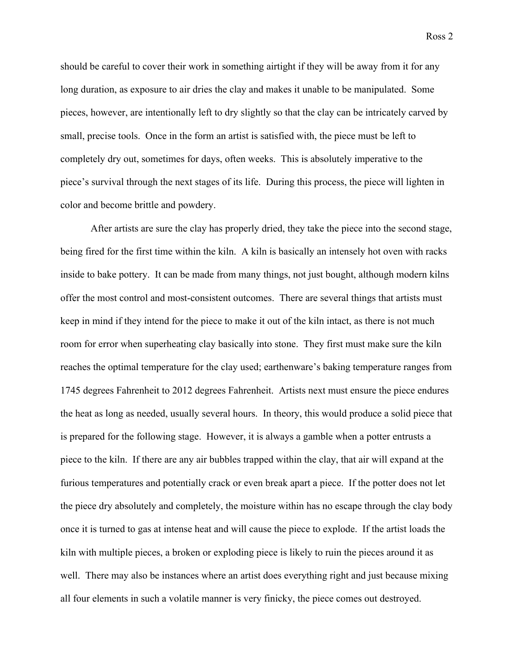should be careful to cover their work in something airtight if they will be away from it for any

long duration, as exposure to air dries the clay and makes it unable to be manipulated. Some pieces, however, are intentionally left to dry slightly so that the clay can be intricately carved by small, precise tools. Once in the form an artist is satisfied with, the piece must be left to completely dry out, sometimes for days, often weeks. This is absolutely imperative to the piece's survival through the next stages of its life. During this process, the piece will lighten in color and become brittle and powdery.

After artists are sure the clay has properly dried, they take the piece into the second stage, being fired for the first time within the kiln. A kiln is basically an intensely hot oven with racks inside to bake pottery. It can be made from many things, not just bought, although modern kilns offer the most control and most-consistent outcomes. There are several things that artists must keep in mind if they intend for the piece to make it out of the kiln intact, as there is not much room for error when superheating clay basically into stone. They first must make sure the kiln reaches the optimal temperature for the clay used; earthenware's baking temperature ranges from 1745 degrees Fahrenheit to 2012 degrees Fahrenheit. Artists next must ensure the piece endures the heat as long as needed, usually several hours. In theory, this would produce a solid piece that is prepared for the following stage. However, it is always a gamble when a potter entrusts a piece to the kiln. If there are any air bubbles trapped within the clay, that air will expand at the furious temperatures and potentially crack or even break apart a piece. If the potter does not let the piece dry absolutely and completely, the moisture within has no escape through the clay body once it is turned to gas at intense heat and will cause the piece to explode. If the artist loads the kiln with multiple pieces, a broken or exploding piece is likely to ruin the pieces around it as well. There may also be instances where an artist does everything right and just because mixing all four elements in such a volatile manner is very finicky, the piece comes out destroyed.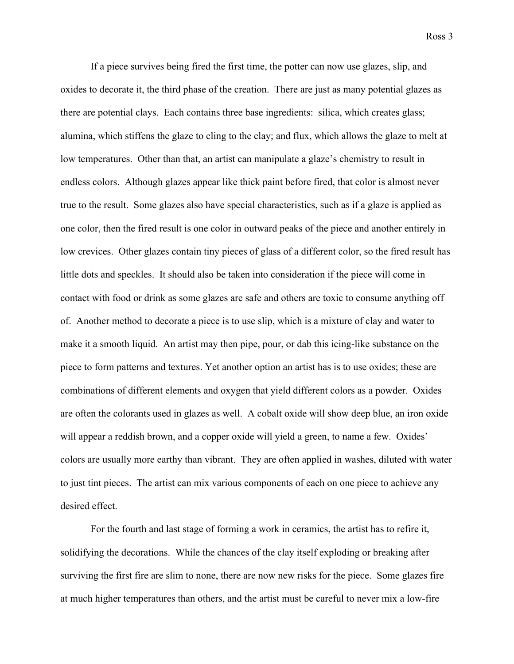Ross 3

If a piece survives being fired the first time, the potter can now use glazes, slip, and oxides to decorate it, the third phase of the creation. There are just as many potential glazes as there are potential clays. Each contains three base ingredients: silica, which creates glass; alumina, which stiffens the glaze to cling to the clay; and flux, which allows the glaze to melt at low temperatures. Other than that, an artist can manipulate a glaze's chemistry to result in endless colors. Although glazes appear like thick paint before fired, that color is almost never true to the result. Some glazes also have special characteristics, such as if a glaze is applied as one color, then the fired result is one color in outward peaks of the piece and another entirely in low crevices. Other glazes contain tiny pieces of glass of a different color, so the fired result has little dots and speckles. It should also be taken into consideration if the piece will come in contact with food or drink as some glazes are safe and others are toxic to consume anything off of. Another method to decorate a piece is to use slip, which is a mixture of clay and water to make it a smooth liquid. An artist may then pipe, pour, or dab this icing-like substance on the piece to form patterns and textures. Yet another option an artist has is to use oxides; these are combinations of different elements and oxygen that yield different colors as a powder. Oxides are often the colorants used in glazes as well. A cobalt oxide will show deep blue, an iron oxide will appear a reddish brown, and a copper oxide will yield a green, to name a few. Oxides' colors are usually more earthy than vibrant. They are often applied in washes, diluted with water to just tint pieces. The artist can mix various components of each on one piece to achieve any desired effect.

For the fourth and last stage of forming a work in ceramics, the artist has to refire it, solidifying the decorations. While the chances of the clay itself exploding or breaking after surviving the first fire are slim to none, there are now new risks for the piece. Some glazes fire at much higher temperatures than others, and the artist must be careful to never mix a low-fire